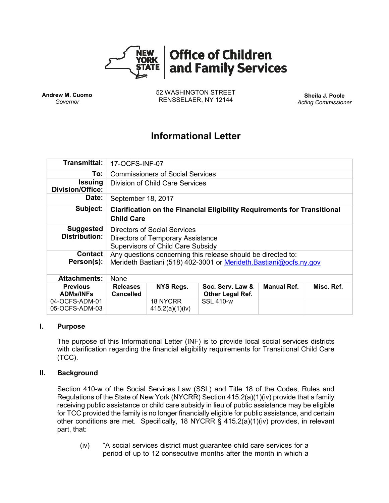

**Andrew M. Cuomo** *Governor*

52 WASHINGTON STREET RENSSELAER, NY 12144 **Sheila J. Poole**

*Acting Commissioner*

## **Informational Letter**

| Transmittal:                              | 17-OCFS-INF-07                                                                                                                     |                                    |                                             |                    |            |
|-------------------------------------------|------------------------------------------------------------------------------------------------------------------------------------|------------------------------------|---------------------------------------------|--------------------|------------|
| To:                                       | <b>Commissioners of Social Services</b>                                                                                            |                                    |                                             |                    |            |
| <b>Issuing</b><br><b>Division/Office:</b> | Division of Child Care Services                                                                                                    |                                    |                                             |                    |            |
| Date:                                     | September 18, 2017                                                                                                                 |                                    |                                             |                    |            |
| Subject:                                  | <b>Clarification on the Financial Eligibility Requirements for Transitional</b><br><b>Child Care</b>                               |                                    |                                             |                    |            |
| <b>Suggested</b><br><b>Distribution:</b>  | Directors of Social Services<br><b>Directors of Temporary Assistance</b><br><b>Supervisors of Child Care Subsidy</b>               |                                    |                                             |                    |            |
| <b>Contact</b><br>Person(s):              | Any questions concerning this release should be directed to:<br>Merideth Bastiani (518) 402-3001 or Merideth. Bastiani@ocfs.ny.gov |                                    |                                             |                    |            |
| <b>Attachments:</b>                       | None                                                                                                                               |                                    |                                             |                    |            |
| <b>Previous</b><br><b>ADMs/INFs</b>       | <b>Releases</b><br><b>Cancelled</b>                                                                                                | NYS Regs.                          | Soc. Serv. Law &<br><b>Other Legal Ref.</b> | <b>Manual Ref.</b> | Misc. Ref. |
| 04-OCFS-ADM-01<br>05-OCFS-ADM-03          |                                                                                                                                    | <b>18 NYCRR</b><br>415.2(a)(1)(iv) | <b>SSL 410-w</b>                            |                    |            |

#### **I. Purpose**

The purpose of this Informational Letter (INF) is to provide local social services districts with clarification regarding the financial eligibility requirements for Transitional Child Care (TCC).

### **II. Background**

Section 410-w of the Social Services Law (SSL) and Title 18 of the Codes, Rules and Regulations of the State of New York (NYCRR) Section 415.2(a)(1)(iv) provide that a family receiving public assistance or child care subsidy in lieu of public assistance may be eligible for TCC provided the family is no longer financially eligible for public assistance, and certain other conditions are met. Specifically, 18 NYCRR § 415.2(a)(1)(iv) provides, in relevant part, that:

(iv) "A social services district must guarantee child care services for a period of up to 12 consecutive months after the month in which a